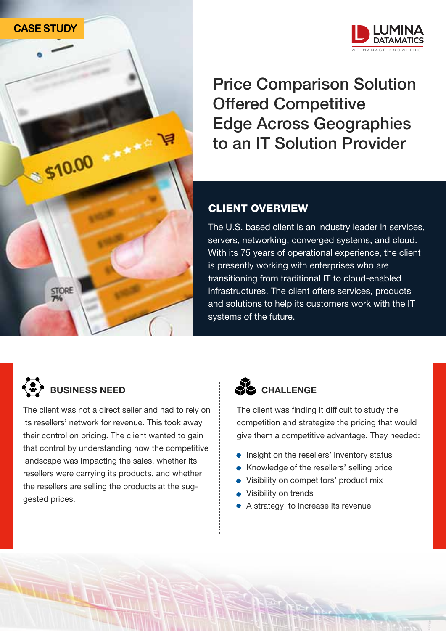



Price Comparison Solution Offered Competitive Edge Across Geographies to an IT Solution Provider

## CLIENT OVERVIEW

The U.S. based client is an industry leader in services, servers, networking, converged systems, and cloud. With its 75 years of operational experience, the client is presently working with enterprises who are transitioning from traditional IT to cloud-enabled infrastructures. The client offers services, products and solutions to help its customers work with the IT systems of the future.



The client was not a direct seller and had to rely on its resellers' network for revenue. This took away their control on pricing. The client wanted to gain that control by understanding how the competitive landscape was impacting the sales, whether its resellers were carrying its products, and whether the resellers are selling the products at the suggested prices.



The client was finding it difficult to study the competition and strategize the pricing that would give them a competitive advantage. They needed:

- **Insight on the resellers' inventory status**
- Knowledge of the resellers' selling price
- Visibility on competitors' product mix
- Visibility on trends
- A strategy to increase its revenue